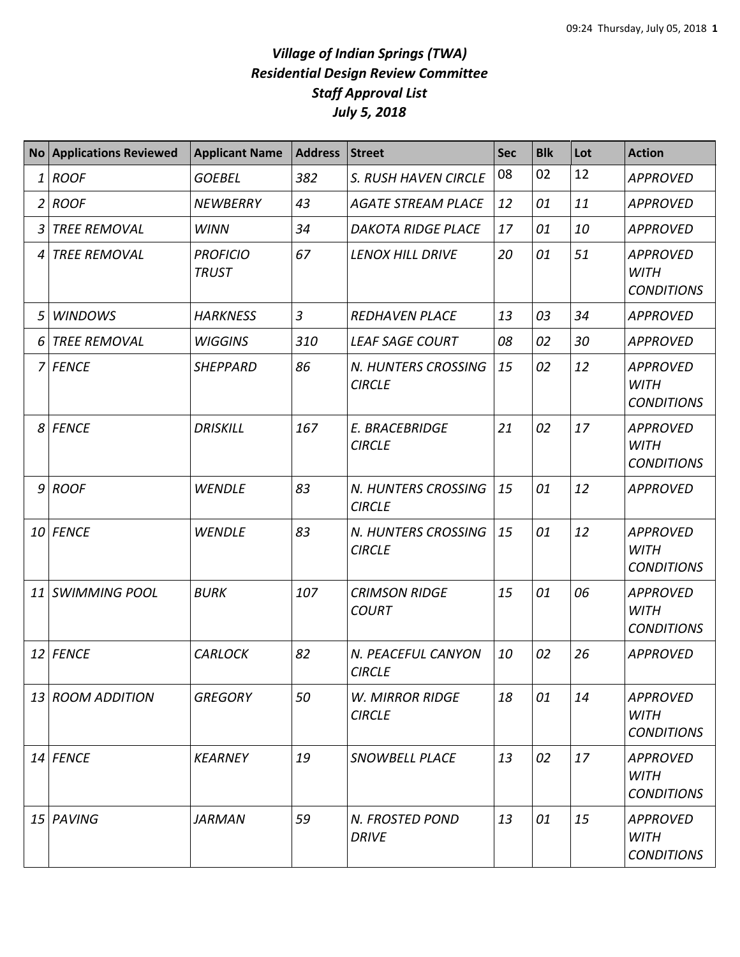## *Village of Indian Springs (TWA) Residential Design Review Committee Staff Approval List July 5, 2018*

|                | No Applications Reviewed | <b>Applicant Name</b>           | Address        | <b>Street</b>                           | <b>Sec</b> | <b>Blk</b> | Lot | <b>Action</b>                                       |
|----------------|--------------------------|---------------------------------|----------------|-----------------------------------------|------------|------------|-----|-----------------------------------------------------|
| 1              | <b>ROOF</b>              | <b>GOEBEL</b>                   | 382            | S. RUSH HAVEN CIRCLE                    | 08         | 02         | 12  | <b>APPROVED</b>                                     |
| $\overline{2}$ | <b>ROOF</b>              | <b>NEWBERRY</b>                 | 43             | <b>AGATE STREAM PLACE</b>               | 12         | 01         | 11  | <b>APPROVED</b>                                     |
| 3              | <b>TREE REMOVAL</b>      | <b>WINN</b>                     | 34             | <b>DAKOTA RIDGE PLACE</b>               | 17         | 01         | 10  | <b>APPROVED</b>                                     |
| 4              | <b>TREE REMOVAL</b>      | <b>PROFICIO</b><br><b>TRUST</b> | 67             | <b>LENOX HILL DRIVE</b>                 | 20         | 01         | 51  | <b>APPROVED</b><br><b>WITH</b><br><b>CONDITIONS</b> |
| 5              | <b>WINDOWS</b>           | <b>HARKNESS</b>                 | $\overline{3}$ | <b>REDHAVEN PLACE</b>                   | 13         | 03         | 34  | <b>APPROVED</b>                                     |
| 6              | <b>TREE REMOVAL</b>      | <b>WIGGINS</b>                  | 310            | <b>LEAF SAGE COURT</b>                  | 08         | 02         | 30  | <b>APPROVED</b>                                     |
|                | 7 FENCE                  | <b>SHEPPARD</b>                 | 86             | N. HUNTERS CROSSING<br><b>CIRCLE</b>    | 15         | 02         | 12  | <b>APPROVED</b><br><b>WITH</b><br><b>CONDITIONS</b> |
|                | 8 FENCE                  | <b>DRISKILL</b>                 | 167            | E. BRACEBRIDGE<br><b>CIRCLE</b>         | 21         | 02         | 17  | <b>APPROVED</b><br><b>WITH</b><br><b>CONDITIONS</b> |
|                | $9$ ROOF                 | <b>WENDLE</b>                   | 83             | N. HUNTERS CROSSING<br><b>CIRCLE</b>    | 15         | 01         | 12  | <b>APPROVED</b>                                     |
|                | 10 FENCE                 | <b>WENDLE</b>                   | 83             | N. HUNTERS CROSSING<br><b>CIRCLE</b>    | 15         | 01         | 12  | <b>APPROVED</b><br><b>WITH</b><br><b>CONDITIONS</b> |
| 11             | <b>SWIMMING POOL</b>     | <b>BURK</b>                     | 107            | <b>CRIMSON RIDGE</b><br><b>COURT</b>    | 15         | 01         | 06  | <b>APPROVED</b><br><b>WITH</b><br><b>CONDITIONS</b> |
|                | 12 FENCE                 | <b>CARLOCK</b>                  | 82             | N. PEACEFUL CANYON<br><b>CIRCLE</b>     | 10         | 02         | 26  | <b>APPROVED</b>                                     |
|                | 13 ROOM ADDITION         | <b>GREGORY</b>                  | 50             | <b>W. MIRROR RIDGE</b><br><b>CIRCLE</b> | 18         | 01         | 14  | <b>APPROVED</b><br><b>WITH</b><br><b>CONDITIONS</b> |
|                | 14 FENCE                 | <b>KEARNEY</b>                  | 19             | <b>SNOWBELL PLACE</b>                   | 13         | 02         | 17  | <b>APPROVED</b><br><b>WITH</b><br><b>CONDITIONS</b> |
|                | 15 PAVING                | <b>JARMAN</b>                   | 59             | N. FROSTED POND<br><b>DRIVE</b>         | 13         | 01         | 15  | <b>APPROVED</b><br>WITH<br><b>CONDITIONS</b>        |